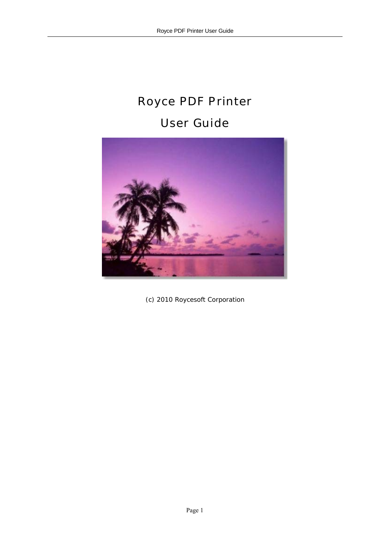## **Royce PDF Printer User Guide**



(c) 2010 Roycesoft Corporation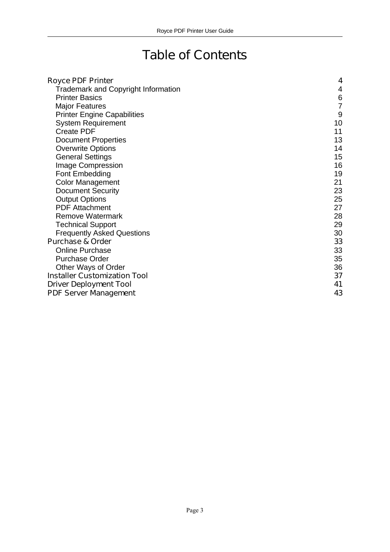## **Table of Contents**

| <b>Royce PDF Printer</b>                   | 4              |
|--------------------------------------------|----------------|
| <b>Trademark and Copyright Information</b> | 4              |
| <b>Printer Basics</b>                      | 6              |
| <b>Major Features</b>                      | $\overline{7}$ |
| <b>Printer Engine Capabilities</b>         | 9              |
| <b>System Requirement</b>                  | 10             |
| <b>Create PDF</b>                          | 11             |
| <b>Document Properties</b>                 | 13             |
| <b>Overwrite Options</b>                   | 14             |
| <b>General Settings</b>                    | 15             |
| <b>Image Compression</b>                   | 16             |
| Font Embedding                             | 19             |
| <b>Color Management</b>                    | 21             |
| <b>Document Security</b>                   | 23             |
| <b>Output Options</b>                      | 25             |
| <b>PDF Attachment</b>                      | 27             |
| <b>Remove Watermark</b>                    | 28             |
| <b>Technical Support</b>                   | 29             |
| <b>Frequently Asked Questions</b>          | 30             |
| <b>Purchase &amp; Order</b>                | 33             |
| <b>Online Purchase</b>                     | 33             |
| <b>Purchase Order</b>                      | 35             |
| Other Ways of Order                        | 36             |
| <b>Installer Customization Tool</b>        | 37             |
| <b>Driver Deployment Tool</b>              | 41             |
| <b>PDF Server Management</b>               | 43             |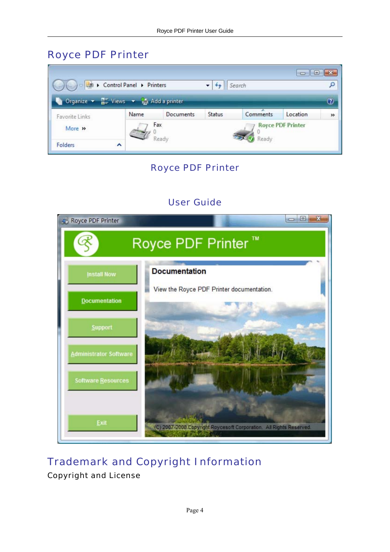## **Royce PDF Printer**

| ( ) ( ) all > Control Panel > Printers |      |              |        | Search   | Ü<br>$\Box$              |            |
|----------------------------------------|------|--------------|--------|----------|--------------------------|------------|
| Organize v B= Views v B= Add a printer |      |              |        |          |                          | $^{\circ}$ |
| Favorite Links                         | Name | Documents    | Status | Comments | Location                 | >>         |
| More »                                 |      | Fax<br>Ready |        | leady    | <b>Royce PDF Printer</b> |            |
| Folders                                | ㅅ    |              |        |          |                          |            |

### **Royce PDF Printer**

#### **User Guide**



## **Trademark and Copyright Information**

**Copyright and License**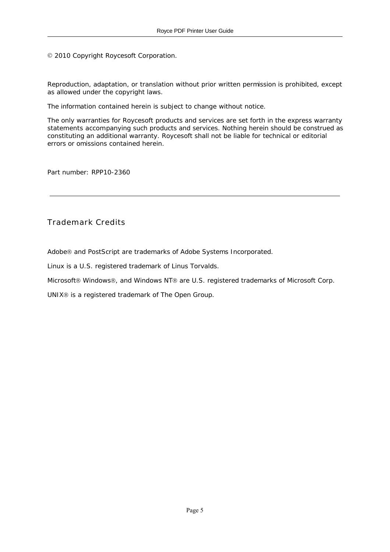2010 Copyright Roycesoft Corporation.

Reproduction, adaptation, or translation without prior written permission is prohibited, except as allowed under the copyright laws.

The information contained herein is subject to change without notice.

The only warranties for Roycesoft products and services are set forth in the express warranty statements accompanying such products and services. Nothing herein should be construed as constituting an additional warranty. Roycesoft shall not be liable for technical or editorial errors or omissions contained herein.

Part number: RPP10-2360

#### **Trademark Credits**

Adobe<sup>®</sup> and PostScript are trademarks of Adobe Systems Incorporated.

Linux is a U.S. registered trademark of Linus Torvalds.

Microsoft® Windows®, and Windows NT® are U.S. registered trademarks of Microsoft Corp.

UNIX<sup>®</sup> is a registered trademark of The Open Group.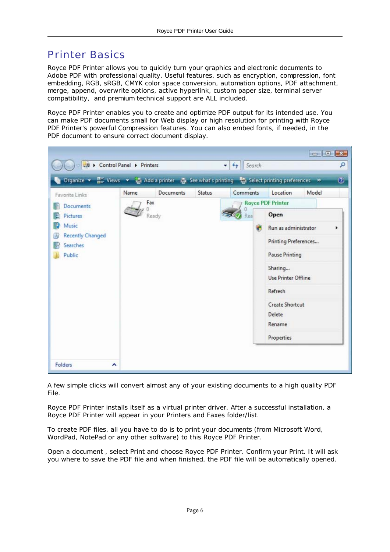## **Printer Basics**

Royce PDF Printer allows you to quickly turn your graphics and electronic documents to Adobe PDF with professional quality. Useful features, such as encryption, compression, font embedding, RGB, sRGB, CMYK color space conversion, automation options, PDF attachment, merge, append, overwrite options, active hyperlink, custom paper size, terminal server compatibility, and premium technical support are ALL included.

Royce PDF Printer enables you to create and optimize PDF output for its intended use. You can make PDF documents small for Web display or high resolution for printing with Royce PDF Printer's powerful Compression features. You can also embed fonts, if needed, in the PDF document to ensure correct document display.



A few simple clicks will convert almost any of your existing documents to a high quality PDF File.

Royce PDF Printer installs itself as a virtual printer driver. After a successful installation, a Royce PDF Printer will appear in your Printers and Faxes folder/list.

To create PDF files, all you have to do is to print your documents (from Microsoft Word, WordPad, NotePad or any other software) to this Royce PDF Printer.

Open a document , select Print and choose Royce PDF Printer. Confirm your Print. It will ask you where to save the PDF file and when finished, the PDF file will be automatically opened.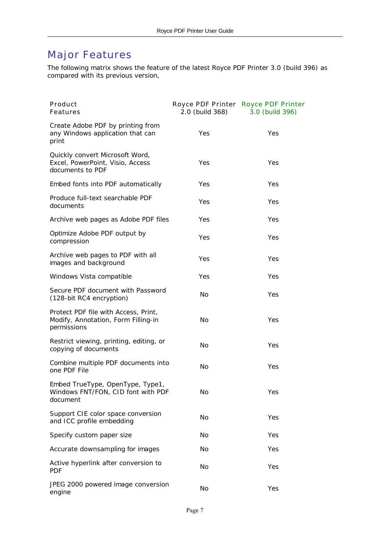## **Major Features**

The following matrix shows the feature of the latest Royce PDF Printer 3.0 (build 396) as compared with its previous version,

| Product<br>Features                                                                        | 2.0 (build 368) | Royce PDF Printer Royce PDF Printer<br>3.0 (build 396) |
|--------------------------------------------------------------------------------------------|-----------------|--------------------------------------------------------|
| Create Adobe PDF by printing from<br>any Windows application that can<br>print             | <b>Yes</b>      | Yes                                                    |
| Quickly convert Microsoft Word,<br>Excel, PowerPoint, Visio, Access<br>documents to PDF    | Yes             | Yes                                                    |
| Embed fonts into PDF automatically                                                         | Yes             | Yes                                                    |
| Produce full-text searchable PDF<br>documents                                              | Yes             | Yes                                                    |
| Archive web pages as Adobe PDF files                                                       | Yes             | Yes                                                    |
| Optimize Adobe PDF output by<br>compression                                                | Yes             | Yes                                                    |
| Archive web pages to PDF with all<br>images and background                                 | Yes             | Yes                                                    |
| Windows Vista compatible                                                                   | Yes             | Yes                                                    |
| Secure PDF document with Password<br>(128-bit RC4 encryption)                              | <b>No</b>       | Yes                                                    |
| Protect PDF file with Access, Print,<br>Modify, Annotation, Form Filling-in<br>permissions | No.             | Yes                                                    |
| Restrict viewing, printing, editing, or<br>copying of documents                            | No.             | Yes                                                    |
| Combine multiple PDF documents into<br>one PDF File                                        | <b>No</b>       | Yes                                                    |
| Embed TrueType, OpenType, Type1,<br>Windows FNT/FON, CID font with PDF<br>document         | No              | Yes                                                    |
| Support CIE color space conversion<br>and ICC profile embedding                            | <b>No</b>       | Yes                                                    |
| Specify custom paper size                                                                  | <b>No</b>       | Yes                                                    |
| Accurate downsampling for images                                                           | <b>No</b>       | Yes                                                    |
| Active hyperlink after conversion to<br><b>PDF</b>                                         | No              | Yes                                                    |
| JPEG 2000 powered image conversion<br>engine                                               | <b>No</b>       | Yes                                                    |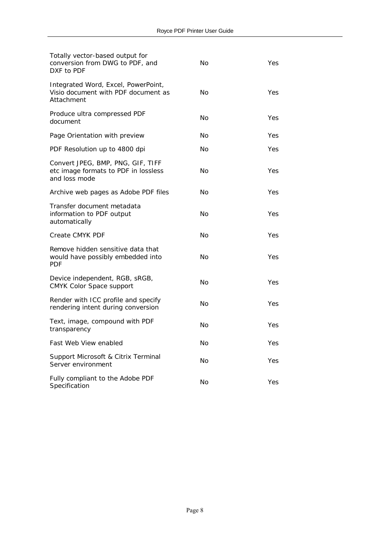| Totally vector-based output for<br>conversion from DWG to PDF, and<br>DXF to PDF           | No | Yes |
|--------------------------------------------------------------------------------------------|----|-----|
| Integrated Word, Excel, PowerPoint,<br>Visio document with PDF document as<br>Attachment   | Nο | Yes |
| Produce ultra compressed PDF<br>document                                                   | No | Yes |
| Page Orientation with preview                                                              | No | Yes |
| PDF Resolution up to 4800 dpi                                                              | No | Yes |
| Convert JPEG, BMP, PNG, GIF, TIFF<br>etc image formats to PDF in lossless<br>and loss mode | No | Yes |
| Archive web pages as Adobe PDF files                                                       | No | Yes |
| Transfer document metadata<br>information to PDF output<br>automatically                   | No | Yes |
| Create CMYK PDF                                                                            | No | Yes |
| Remove hidden sensitive data that<br>would have possibly embedded into<br><b>PDF</b>       | No | Yes |
| Device independent, RGB, sRGB,<br><b>CMYK Color Space support</b>                          | No | Yes |
| Render with ICC profile and specify<br>rendering intent during conversion                  | No | Yes |
| Text, image, compound with PDF<br>transparency                                             | No | Yes |
| Fast Web View enabled                                                                      | No | Yes |
| Support Microsoft & Citrix Terminal<br>Server environment                                  | No | Yes |
| Fully compliant to the Adobe PDF<br>Specification                                          | No | Yes |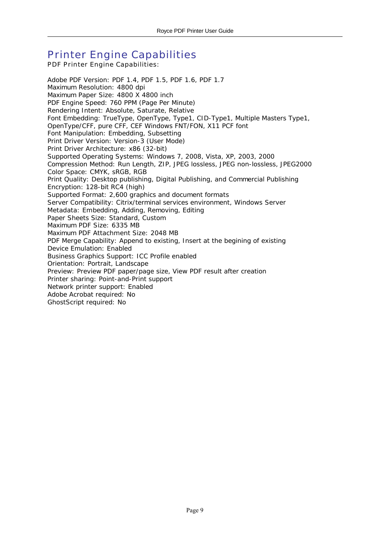## **Printer Engine Capabilities**

**PDF Printer Engine Capabilities:**

Adobe PDF Version: PDF 1.4, PDF 1.5, PDF 1.6, PDF 1.7 Maximum Resolution: 4800 dpi Maximum Paper Size: 4800 X 4800 inch PDF Engine Speed: 760 PPM (Page Per Minute) Rendering Intent: Absolute, Saturate, Relative Font Embedding: TrueType, OpenType, Type1, CID-Type1, Multiple Masters Type1, OpenType/CFF, pure CFF, CEF Windows FNT/FON, X11 PCF font Font Manipulation: Embedding, Subsetting Print Driver Version: Version-3 (User Mode) Print Driver Architecture: x86 (32-bit) Supported Operating Systems: Windows 7, 2008, Vista, XP, 2003, 2000 Compression Method: Run Length, ZIP, JPEG lossless, JPEG non-lossless, JPEG2000 Color Space: CMYK, sRGB, RGB Print Quality: Desktop publishing, Digital Publishing, and Commercial Publishing Encryption: 128-bit RC4 (high) Supported Format: 2,600 graphics and document formats Server Compatibility: Citrix/terminal services environment, Windows Server Metadata: Embedding, Adding, Removing, Editing Paper Sheets Size: Standard, Custom Maximum PDF Size: 6335 MB Maximum PDF Attachment Size: 2048 MB PDF Merge Capability: Append to existing, Insert at the begining of existing Device Emulation: Enabled Business Graphics Support: ICC Profile enabled Orientation: Portrait, Landscape Preview: Preview PDF paper/page size, View PDF result after creation Printer sharing: Point-and-Print support Network printer support: Enabled Adobe Acrobat required: No GhostScript required: No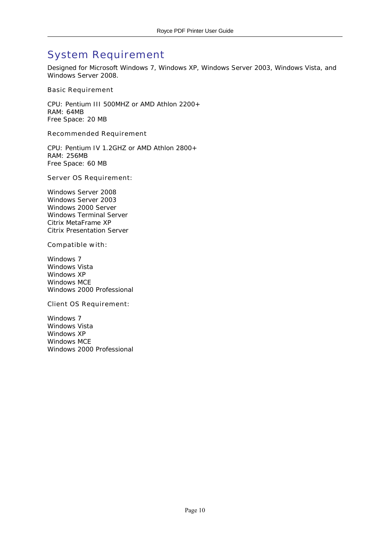## **System Requirement**

Designed for Microsoft Windows 7, Windows XP, Windows Server 2003, Windows Vista, and Windows Server 2008.

**Basic Requirement**

CPU: Pentium III 500MHZ or AMD Athlon 2200+ RAM: 64MB Free Space: 20 MB

**Recommended Requirement**

CPU: Pentium IV 1.2GHZ or AMD Athlon 2800+ RAM: 256MB Free Space: 60 MB

**Server OS Requirement:**

Windows Server 2008 Windows Server 2003 Windows 2000 Server Windows Terminal Server Citrix MetaFrame XP Citrix Presentation Server

**Compatible with:**

Windows 7 Windows Vista Windows XP Windows MCE Windows 2000 Professional

**Client OS Requirement:**

Windows 7 Windows Vista Windows XP Windows MCE Windows 2000 Professional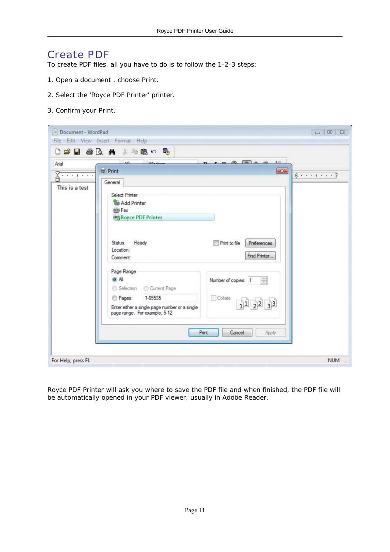#### **Create PDF**

To create PDF files, all you have to do is to follow the 1-2-3 steps:

- 1. Open a document , choose Print.
- 2. Select the 'Royce PDF Printer' printer.
- 3. Confirm your Print.



Royce PDF Printer will ask you where to save the PDF file and when finished, the PDF file will be automatically opened in your PDF viewer, usually in Adobe Reader.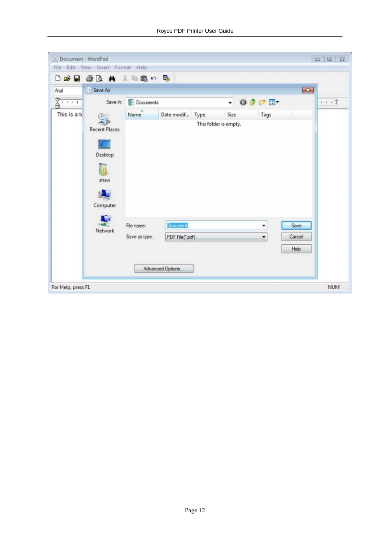|                       | 口产品 叠及 英 为 出 离 的 喝                                  |                             |                                                |                       |      |              |                        |            |
|-----------------------|-----------------------------------------------------|-----------------------------|------------------------------------------------|-----------------------|------|--------------|------------------------|------------|
| Arial                 | $\mathbf{E}$ Save As                                |                             |                                                |                       |      |              | $\frac{23}{25}$        |            |
| $x \cdot \cdot \cdot$ | Save in:                                            | Documents                   |                                                |                       | ۰    | Of PE-       |                        | $\cdots$ 7 |
| This is a to          |                                                     | Name                        | Date modif                                     | Type                  | Size | Tags         |                        |            |
|                       | <b>Recent Places</b><br>Desktop<br>shsw<br>Computer |                             |                                                | This folder is empty. |      |              |                        |            |
|                       | Network                                             | File name:<br>Save as type: | Document<br>PDF File("pdf)<br>Advanced Options |                       |      | ۳<br>$\cdot$ | Save<br>Cancel<br>Help |            |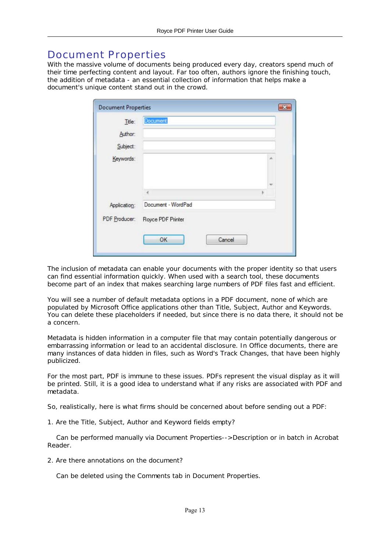#### **Document Properties**

With the massive volume of documents being produced every day, creators spend much of their time perfecting content and layout. Far too often, authors ignore the finishing touch, the addition of metadata - an essential collection of information that helps make a document's unique content stand out in the crowd.

| Title:        | Document           |    |
|---------------|--------------------|----|
| Author:       |                    |    |
| Subject:      |                    |    |
| Keywords:     |                    | a. |
|               |                    | ÷  |
|               | 4                  |    |
| Application:  | Document - WordPad |    |
| PDF Producer: | Royce PDF Printer  |    |
|               | OK<br>Cancel       |    |

The inclusion of metadata can enable your documents with the proper identity so that users can find essential information quickly. When used with a search tool, these documents become part of an index that makes searching large numbers of PDF files fast and efficient.

You will see a number of default metadata options in a PDF document, none of which are populated by Microsoft Office applications other than Title, Subject, Author and Keywords. You can delete these placeholders if needed, but since there is no data there, it should not be a concern.

Metadata is hidden information in a computer file that may contain potentially dangerous or embarrassing information or lead to an accidental disclosure. In Office documents, there are many instances of data hidden in files, such as Word's Track Changes, that have been highly publicized.

For the most part, PDF is immune to these issues. PDFs represent the visual display as it will be printed. Still, it is a good idea to understand what if any risks are associated with PDF and metadata.

So, realistically, here is what firms should be concerned about before sending out a PDF:

1. Are the Title, Subject, Author and Keyword fields empty?

 Can be performed manually via Document Properties-->Description or in batch in Acrobat Reader.

2. Are there annotations on the document?

Can be deleted using the Comments tab in Document Properties.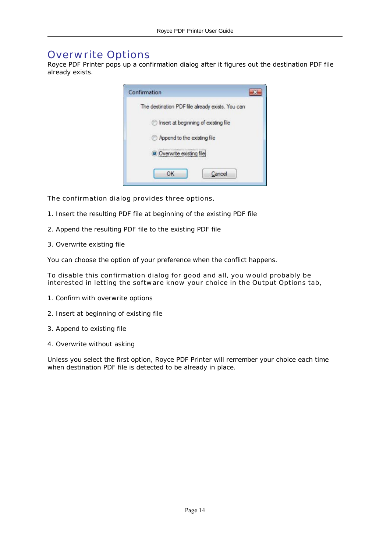#### **Overwrite Options**

Royce PDF Printer pops up a confirmation dialog after it figures out the destination PDF file already exists.

| Confirmation                                     |  |
|--------------------------------------------------|--|
| The destination PDF file already exists. You can |  |
| Insert at beginning of existing file             |  |
| Append to the existing file                      |  |
| O Overwrite existing file                        |  |
| OK<br>Cancel                                     |  |

**The confirmation dialog provides three options,**

- 1. Insert the resulting PDF file at beginning of the existing PDF file
- 2. Append the resulting PDF file to the existing PDF file
- 3. Overwrite existing file

You can choose the option of your preference when the conflict happens.

**To disable this confirmation dialog for good and all, you would probably be interested in letting the software know your choice in the Output Options tab,**

- 1. Confirm with overwrite options
- 2. Insert at beginning of existing file
- 3. Append to existing file
- 4. Overwrite without asking

Unless you select the first option, Royce PDF Printer will remember your choice each time when destination PDF file is detected to be already in place.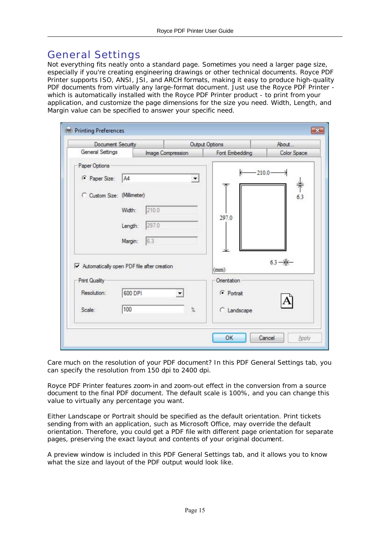#### **General Settings**

Not everything fits neatly onto a standard page. Sometimes you need a larger page size, especially if you're creating engineering drawings or other technical documents. Royce PDF Printer supports ISO, ANSI, JSI, and ARCH formats, making it easy to produce high-quality PDF documents from virtually any large-format document. Just use the Royce PDF Printer which is automatically installed with the Royce PDF Printer product - to print from your application, and customize the page dimensions for the size you need. Width, Length, and Margin value can be specified to answer your specific need.

| Document Security                          |         |                   |                      | Output Options      | About                        |
|--------------------------------------------|---------|-------------------|----------------------|---------------------|------------------------------|
| General Settings                           |         | Image Compression |                      | Font Embedding      | Color Space                  |
| Paper Options                              |         |                   |                      |                     |                              |
| Paper Size:                                | A4      |                   | $\blacktriangledown$ |                     | $-210.0 -$                   |
| C Custom Size: (Millimeter)                |         |                   |                      |                     | $*$ 6.3                      |
|                                            | Width:  | 210.0             |                      |                     |                              |
|                                            | Length: | 297.0             |                      | 297.0               |                              |
|                                            | Margin: | 6.3               |                      |                     |                              |
| Automatically open PDF file after creation |         |                   |                      |                     | $6.3 \rightarrow \leftarrow$ |
| <b>Print Quality</b>                       |         |                   |                      | (mm)<br>Orientation |                              |
| Resolution:                                | 600 DPI |                   |                      | <b>C</b> Portrait   |                              |
| Scale:                                     | 100     |                   | $\%$                 | C Landscape         |                              |
|                                            |         |                   |                      |                     |                              |

Care much on the resolution of your PDF document? In this PDF General Settings tab, you can specify the resolution from 150 dpi to 2400 dpi.

Royce PDF Printer features zoom-in and zoom-out effect in the conversion from a source document to the final PDF document. The default scale is 100%, and you can change this value to virtually any percentage you want.

Either Landscape or Portrait should be specified as the default orientation. Print tickets sending from with an application, such as Microsoft Office, may override the default orientation. Therefore, you could get a PDF file with different page orientation for separate pages, preserving the exact layout and contents of your original document.

A preview window is included in this PDF General Settings tab, and it allows you to know what the size and layout of the PDF output would look like.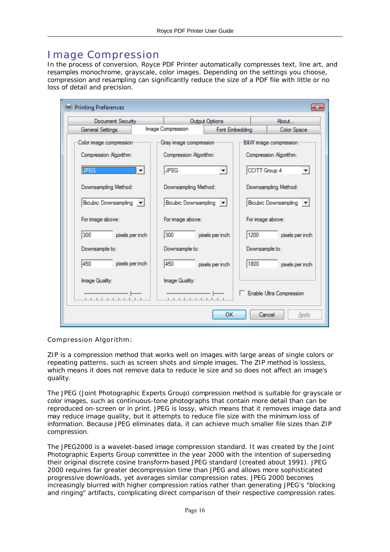#### **Image Compression**

In the process of conversion, Royce PDF Printer automatically compresses text, line art, and resamples monochrome, grayscale, color images. Depending on the settings you choose, compression and resampling can significantly reduce the size of a PDF file with little or no loss of detail and precision.

| <b>Gap Printing Preferences</b>           |                                           |                 |                  |                          |
|-------------------------------------------|-------------------------------------------|-----------------|------------------|--------------------------|
| Document Security                         |                                           | Output Options  |                  | About                    |
| General Settings                          | Image Compression                         | Font Embedding  |                  | <b>Color Space</b>       |
| Color image compression                   | Gray image compression -                  |                 |                  | B&W image compression    |
| Compression Algorithm:                    | Compression Algorithm:                    |                 |                  | Compression Algorithm:   |
| UPEG -<br>$\vert \cdot \vert$             | <b>JPEG</b>                               | ▼               | CCITT Group 4    |                          |
| Downsampling Method:                      | Downsampling Method:                      |                 |                  | Downsampling Method:     |
| Bicubic Downsampling v                    | Bicubic Downsampling v                    |                 |                  | Bicubic Downsampling v   |
| For image above:                          | For image above:                          |                 | For image above: |                          |
| 300<br>pixels per inch                    | 300                                       | pixels per inch | 1200             | pixels per inch          |
| Downsample to:                            | Downsample to:                            |                 | Downsample to:   |                          |
| 450<br>pixels per inch                    | 450                                       | pixels per inch | 1800             | pixels per inch          |
| Image Quality:                            | Image Quality:                            |                 |                  |                          |
| $\overline{\phantom{iiiiiiiiiiiii}}$<br>. | $\overline{\phantom{iiiiiiiiiiiii}}$<br>. |                 |                  | Enable Ultra Compression |
|                                           |                                           | OK              | Cancel           | Apply                    |

**Compression Algorithm:**

ZIP is a compression method that works well on images with large areas of single colors or repeating patterns, such as screen shots and simple images. The ZIP method is lossless, which means it does not remove data to reduce le size and so does not affect an image's quality.

The JPEG (Joint Photographic Experts Group) compression method is suitable for grayscale or color images, such as continuous-tone photographs that contain more detail than can be reproduced on-screen or in print. JPEG is lossy, which means that it removes image data and may reduce image quality, but it attempts to reduce file size with the minimum loss of information. Because JPEG eliminates data, it can achieve much smaller file sizes than ZIP compression.

The JPEG2000 is a wavelet-based image compression standard. It was created by the Joint Photographic Experts Group committee in the year 2000 with the intention of superseding their original discrete cosine transform-based JPEG standard (created about 1991). JPEG 2000 requires far greater decompression time than JPEG and allows more sophisticated progressive downloads, yet averages similar compression rates. JPEG 2000 becomes increasingly blurred with higher compression ratios rather than generating JPEG's "blocking and ringing" artifacts, complicating direct comparison of their respective compression rates.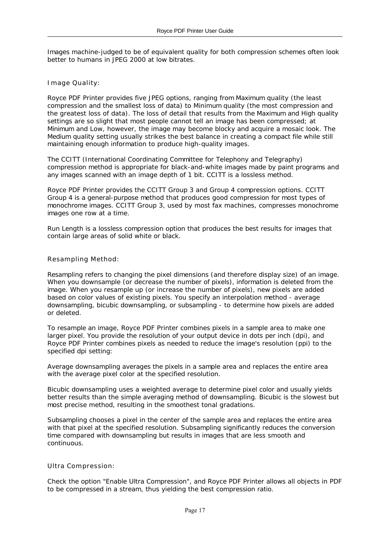Images machine-judged to be of equivalent quality for both compression schemes often look better to humans in JPEG 2000 at low bitrates.

#### **Image Quality:**

Royce PDF Printer provides five JPEG options, ranging from Maximum quality (the least compression and the smallest loss of data) to Minimum quality (the most compression and the greatest loss of data). The loss of detail that results from the Maximum and High quality settings are so slight that most people cannot tell an image has been compressed; at Minimum and Low, however, the image may become blocky and acquire a mosaic look. The Medium quality setting usually strikes the best balance in creating a compact file while still maintaining enough information to produce high-quality images.

The CCITT (International Coordinating Committee for Telephony and Telegraphy) compression method is appropriate for black-and-white images made by paint programs and any images scanned with an image depth of 1 bit. CCITT is a lossless method.

Royce PDF Printer provides the CCITT Group 3 and Group 4 compression options. CCITT Group 4 is a general-purpose method that produces good compression for most types of monochrome images. CCITT Group 3, used by most fax machines, compresses monochrome images one row at a time.

Run Length is a lossless compression option that produces the best results for images that contain large areas of solid white or black.

#### **Resampling Method:**

Resampling refers to changing the pixel dimensions (and therefore display size) of an image. When you downsample (or decrease the number of pixels), information is deleted from the image. When you resample up (or increase the number of pixels), new pixels are added based on color values of existing pixels. You specify an interpolation method - average downsampling, bicubic downsampling, or subsampling - to determine how pixels are added or deleted.

To resample an image, Royce PDF Printer combines pixels in a sample area to make one larger pixel. You provide the resolution of your output device in dots per inch (dpi), and Royce PDF Printer combines pixels as needed to reduce the image's resolution (ppi) to the specified dpi setting:

Average downsampling averages the pixels in a sample area and replaces the entire area with the average pixel color at the specified resolution.

Bicubic downsampling uses a weighted average to determine pixel color and usually yields better results than the simple averaging method of downsampling. Bicubic is the slowest but most precise method, resulting in the smoothest tonal gradations.

Subsampling chooses a pixel in the center of the sample area and replaces the entire area with that pixel at the specified resolution. Subsampling significantly reduces the conversion time compared with downsampling but results in images that are less smooth and continuous.

#### **Ultra Compression:**

Check the option "Enable Ultra Compression", and Royce PDF Printer allows all objects in PDF to be compressed in a stream, thus yielding the best compression ratio.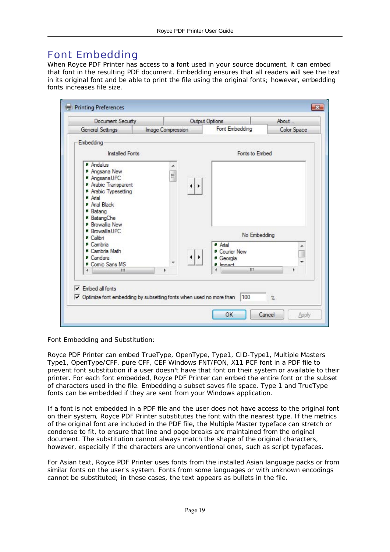#### **Font Embedding**

When Royce PDF Printer has access to a font used in your source document, it can embed that font in the resulting PDF document. Embedding ensures that all readers will see the text in its original font and be able to print the file using the original fonts; however, embedding fonts increases file size.

| Document Security                                                                                                                                                                                                                                                                                          |                                                                    | Output Options                                                                           | About         |
|------------------------------------------------------------------------------------------------------------------------------------------------------------------------------------------------------------------------------------------------------------------------------------------------------------|--------------------------------------------------------------------|------------------------------------------------------------------------------------------|---------------|
| General Settings                                                                                                                                                                                                                                                                                           | Image Compression                                                  | Font Embedding                                                                           | Color Space   |
| Embedding<br><b>Installed Fonts</b>                                                                                                                                                                                                                                                                        |                                                                    | Fonts to Embed                                                                           |               |
| Andalus<br>Angsana New<br>AngsanaUPC<br><b>#</b> Arabic Transparent<br>Arabic Typesetting<br>$A$ nal<br><b># Arial Black</b><br><b>Batang</b><br><b>BatangChe</b><br><b># Browallia New</b><br><b>BrowalliaUPC</b><br><b>E</b> Calibri<br>$C$ ambria<br>Cambria Math<br>Candara<br>Comic Sans MS<br>ш<br>٠ | E                                                                  | No Embedding<br># Arial<br><b>B</b> Courier New<br>Georgia<br>с<br>Imnact<br>е<br>Ш<br>4 | ۸             |
| Embed all fonts<br>⊽                                                                                                                                                                                                                                                                                       |                                                                    |                                                                                          |               |
|                                                                                                                                                                                                                                                                                                            | Optimize font embedding by subsetting fonts when used no more than | 100                                                                                      | $\frac{2}{L}$ |

Font Embedding and Substitution:

Royce PDF Printer can embed TrueType, OpenType, Type1, CID-Type1, Multiple Masters Type1, OpenType/CFF, pure CFF, CEF Windows FNT/FON, X11 PCF font in a PDF file to prevent font substitution if a user doesn't have that font on their system or available to their printer. For each font embedded, Royce PDF Printer can embed the entire font or the subset of characters used in the file. Embedding a subset saves file space. Type 1 and TrueType fonts can be embedded if they are sent from your Windows application.

If a font is not embedded in a PDF file and the user does not have access to the original font on their system, Royce PDF Printer substitutes the font with the nearest type. If the metrics of the original font are included in the PDF file, the Multiple Master typeface can stretch or condense to fit, to ensure that line and page breaks are maintained from the original document. The substitution cannot always match the shape of the original characters, however, especially if the characters are unconventional ones, such as script typefaces.

For Asian text, Royce PDF Printer uses fonts from the installed Asian language packs or from similar fonts on the user's system. Fonts from some languages or with unknown encodings cannot be substituted; in these cases, the text appears as bullets in the file.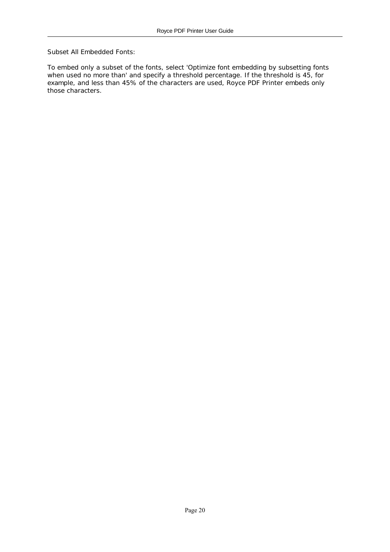#### Subset All Embedded Fonts:

To embed only a subset of the fonts, select 'Optimize font embedding by subsetting fonts when used no more than' and specify a threshold percentage. If the threshold is 45, for example, and less than 45% of the characters are used, Royce PDF Printer embeds only those characters.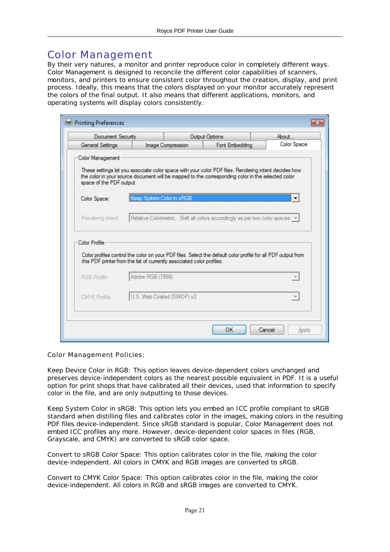#### **Color Management**

By their very natures, a monitor and printer reproduce color in completely different ways. Color Management is designed to reconcile the different color capabilities of scanners, monitors, and printers to ensure consistent color throughout the creation, display, and print process. Ideally, this means that the colors displayed on your monitor accurately represent the colors of the final output. It also means that different applications, monitors, and operating systems will display colors consistently.

|                          | Document Security                                                      | Output Options                                                                                               | About              |
|--------------------------|------------------------------------------------------------------------|--------------------------------------------------------------------------------------------------------------|--------------------|
| General Settings         | Image Compression                                                      | Font Embedding                                                                                               | <b>Color Space</b> |
| Color Management         |                                                                        |                                                                                                              |                    |
|                          |                                                                        | These settings let you associate color space with your color PDF files. Rendering intent decides how         |                    |
|                          |                                                                        | the color in your source document will be mapped to the corresponding color in the selected color            |                    |
| space of the PDF output. |                                                                        |                                                                                                              |                    |
| Color Space:             | Keep System Color in sRGB                                              |                                                                                                              |                    |
|                          |                                                                        |                                                                                                              |                    |
| Rendering intent:        |                                                                        | Relative Colorimetric - Shift all colors accordingly as per two color spaces v                               |                    |
|                          |                                                                        |                                                                                                              |                    |
|                          |                                                                        |                                                                                                              |                    |
|                          |                                                                        |                                                                                                              |                    |
|                          |                                                                        |                                                                                                              |                    |
|                          | this PDF printer from the list of currently associated color profiles. | Color profiles control the color on your PDF files. Select the default color profile for all PDF output from |                    |
| Color Profile            |                                                                        |                                                                                                              |                    |
| <b>BGB Profile:</b>      | Adobe RGB (1998)                                                       |                                                                                                              |                    |
|                          |                                                                        |                                                                                                              |                    |
| CMYK Profile:            | U.S. Web Coated (SWOP) v2                                              |                                                                                                              |                    |
|                          |                                                                        |                                                                                                              |                    |

**Color Management Policies:**

Keep Device Color in RGB: This option leaves device-dependent colors unchanged and preserves device-independent colors as the nearest possible equivalent in PDF. It is a useful option for print shops that have calibrated all their devices, used that information to specify color in the file, and are only outputting to those devices.

Keep System Color in sRGB: This option lets you embed an ICC profile compliant to sRGB standard when distilling files and calibrates color in the images, making colors in the resulting PDF files device-independent. Since sRGB standard is popular, Color Management does not embed ICC profiles any more. However, device-dependent color spaces in files (RGB, Grayscale, and CMYK) are converted to sRGB color space.

Convert to sRGB Color Space: This option calibrates color in the file, making the color device-independent. All colors in CMYK and RGB images are converted to sRGB.

Convert to CMYK Color Space: This option calibrates color in the file, making the color device-independent. All colors in RGB and sRGB images are converted to CMYK.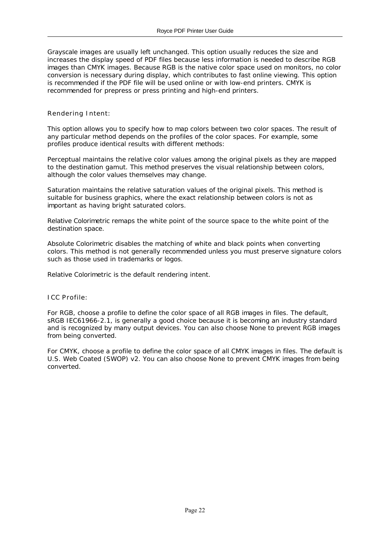Grayscale images are usually left unchanged. This option usually reduces the size and increases the display speed of PDF files because less information is needed to describe RGB images than CMYK images. Because RGB is the native color space used on monitors, no color conversion is necessary during display, which contributes to fast online viewing. This option is recommended if the PDF file will be used online or with low-end printers. CMYK is recommended for prepress or press printing and high-end printers.

#### **Rendering Intent:**

This option allows you to specify how to map colors between two color spaces. The result of any particular method depends on the profiles of the color spaces. For example, some profiles produce identical results with different methods:

Perceptual maintains the relative color values among the original pixels as they are mapped to the destination gamut. This method preserves the visual relationship between colors, although the color values themselves may change.

Saturation maintains the relative saturation values of the original pixels. This method is suitable for business graphics, where the exact relationship between colors is not as important as having bright saturated colors.

Relative Colorimetric remaps the white point of the source space to the white point of the destination space.

Absolute Colorimetric disables the matching of white and black points when converting colors. This method is not generally recommended unless you must preserve signature colors such as those used in trademarks or logos.

Relative Colorimetric is the default rendering intent.

#### **ICC Profile:**

For RGB, choose a profile to define the color space of all RGB images in files. The default, sRGB IEC61966-2.1, is generally a good choice because it is becoming an industry standard and is recognized by many output devices. You can also choose None to prevent RGB images from being converted.

For CMYK, choose a profile to define the color space of all CMYK images in files. The default is U.S. Web Coated (SWOP) v2. You can also choose None to prevent CMYK images from being converted.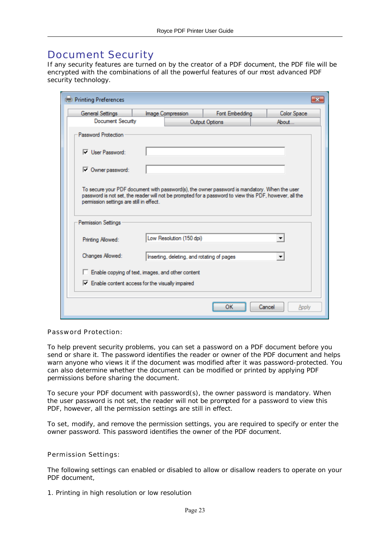#### **Document Security**

If any security features are turned on by the creator of a PDF document, the PDF file will be encrypted with the combinations of all the powerful features of our most advanced PDF security technology.

| General Settings                                                                               | Image Compression        |                                            | Font Embedding                                                                                         | <b>Color Space</b> |
|------------------------------------------------------------------------------------------------|--------------------------|--------------------------------------------|--------------------------------------------------------------------------------------------------------|--------------------|
| Document Security                                                                              |                          | Output Options                             |                                                                                                        | About              |
| Password Protection                                                                            |                          |                                            |                                                                                                        |                    |
| $\nabla$ User Password:                                                                        |                          |                                            |                                                                                                        |                    |
| $\triangledown$ Owner password:                                                                |                          |                                            |                                                                                                        |                    |
|                                                                                                |                          |                                            |                                                                                                        |                    |
| permission settings are still in effect.                                                       |                          |                                            | password is not set, the reader will not be prompted for a password to view this PDF, however, all the |                    |
| <b>Printing Allowed:</b>                                                                       | Low Resolution (150 dpi) |                                            |                                                                                                        |                    |
| Changes Allowed:                                                                               |                          | Inserting, deleting, and rotating of pages |                                                                                                        |                    |
| Enable copying of text, images, and other content                                              |                          |                                            |                                                                                                        |                    |
| <b>Permission Settings</b><br>$\triangleright$ Enable content access for the visually impaired |                          |                                            |                                                                                                        |                    |

**Password Protection:**

To help prevent security problems, you can set a password on a PDF document before you send or share it. The password identifies the reader or owner of the PDF document and helps warn anyone who views it if the document was modified after it was password-protected. You can also determine whether the document can be modified or printed by applying PDF permissions before sharing the document.

To secure your PDF document with password(s), the owner password is mandatory. When the user password is not set, the reader will not be prompted for a password to view this PDF, however, all the permission settings are still in effect.

To set, modify, and remove the permission settings, you are required to specify or enter the owner password. This password identifies the owner of the PDF document.

**Permission Settings:**

The following settings can enabled or disabled to allow or disallow readers to operate on your PDF document,

1. Printing in high resolution or low resolution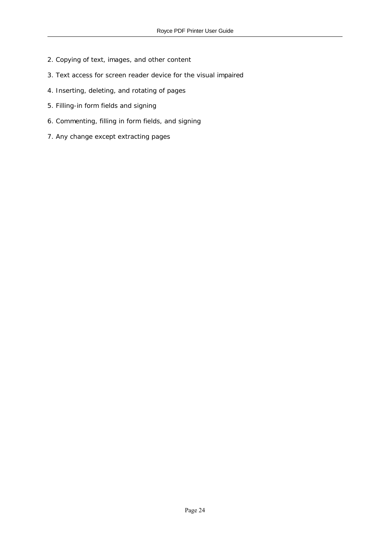- 2. Copying of text, images, and other content
- 3. Text access for screen reader device for the visual impaired
- 4. Inserting, deleting, and rotating of pages
- 5. Filling-in form fields and signing
- 6. Commenting, filling in form fields, and signing
- 7. Any change except extracting pages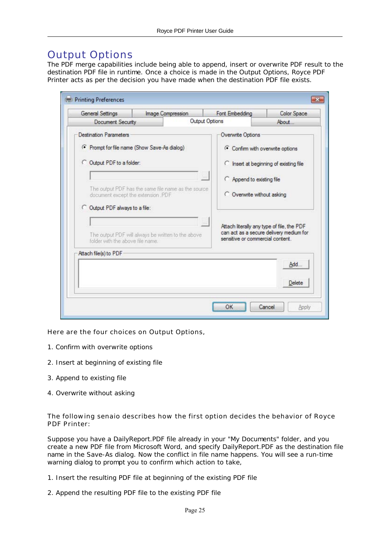#### **Output Options**

The PDF merge capabilities include being able to append, insert or overwrite PDF result to the destination PDF file in runtime. Once a choice is made in the Output Options, Royce PDF Printer acts as per the decision you have made when the destination PDF file exists.

| General Settings                                                                                                                       | Image Compression                                                                                 | Font Embedding                                                                                                                     | <b>Color Space</b>             |
|----------------------------------------------------------------------------------------------------------------------------------------|---------------------------------------------------------------------------------------------------|------------------------------------------------------------------------------------------------------------------------------------|--------------------------------|
| <b>Document Security</b>                                                                                                               |                                                                                                   | Output Options                                                                                                                     | About.                         |
| <b>Destination Parameters</b><br>C Output PDF to a folder:<br>document except the extension .PDF<br>Output PDF always to a file:<br>C. | Prompt for file name (Show Save-As dialog)<br>The output PDF has the same file name as the source | Overwrite Options<br>$\sqrt{2}$<br>C Insert at beginning of existing file<br>Append to existing file<br>C Overwrite without asking | Confirm with overwrite options |
| folder with the above file name.                                                                                                       | The output PDF will always be written to the above                                                | Attach literally any type of file, the PDF<br>can act as a secure delivery medium for<br>sensitive or commercial content.          |                                |
| Attach file(s) to PDF                                                                                                                  |                                                                                                   |                                                                                                                                    | Add                            |
|                                                                                                                                        |                                                                                                   |                                                                                                                                    | Delete                         |

**Here are the four choices on Output Options,**

- 1. Confirm with overwrite options
- 2. Insert at beginning of existing file
- 3. Append to existing file
- 4. Overwrite without asking

**The following senaio describes how the first option decides the behavior of Royce PDF Printer:**

Suppose you have a DailyReport.PDF file already in your "My Documents" folder, and you create a new PDF file from Microsoft Word, and specify DailyReport.PDF as the destination file name in the Save-As dialog. Now the conflict in file name happens. You will see a run-time warning dialog to prompt you to confirm which action to take,

- 1. Insert the resulting PDF file at beginning of the existing PDF file
- 2. Append the resulting PDF file to the existing PDF file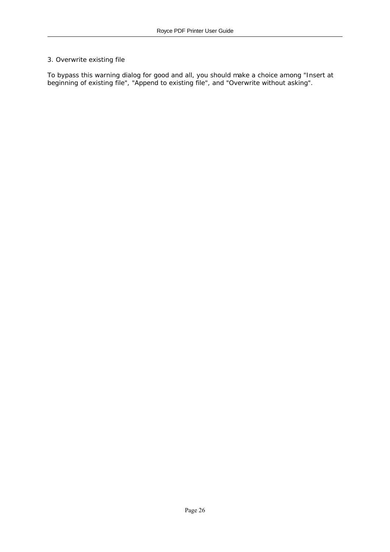#### 3. Overwrite existing file

To bypass this warning dialog for good and all, you should make a choice among "Insert at beginning of existing file", "Append to existing file", and "Overwrite without asking".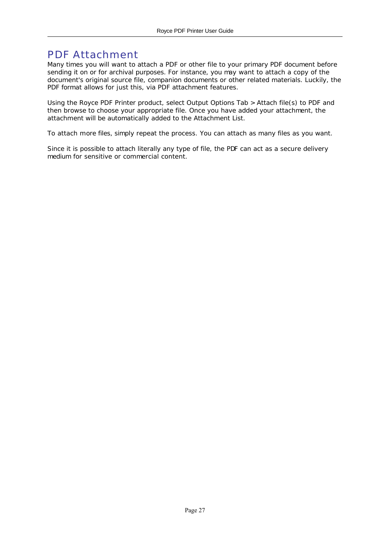#### **PDF Attachment**

Many times you will want to attach a PDF or other file to your primary PDF document before sending it on or for archival purposes. For instance, you may want to attach a copy of the document's original source file, companion documents or other related materials. Luckily, the PDF format allows for just this, via PDF attachment features.

Using the Royce PDF Printer product, select Output Options Tab > Attach file(s) to PDF and then browse to choose your appropriate file. Once you have added your attachment, the attachment will be automatically added to the Attachment List.

To attach more files, simply repeat the process. You can attach as many files as you want.

Since it is possible to attach literally any type of file, the PDF can act as a secure delivery medium for sensitive or commercial content.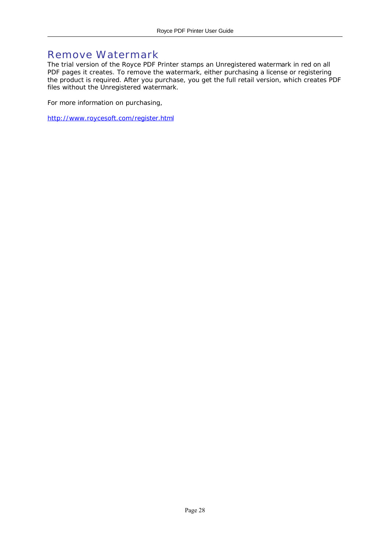#### **Remove Watermark**

The trial version of the Royce PDF Printer stamps an Unregistered watermark in red on all PDF pages it creates. To remove the watermark, either purchasing a license or registering the product is required. After you purchase, you get the full retail version, which creates PDF files without the Unregistered watermark.

For more information on purchasing,

<http://www.roycesoft.com/register.html>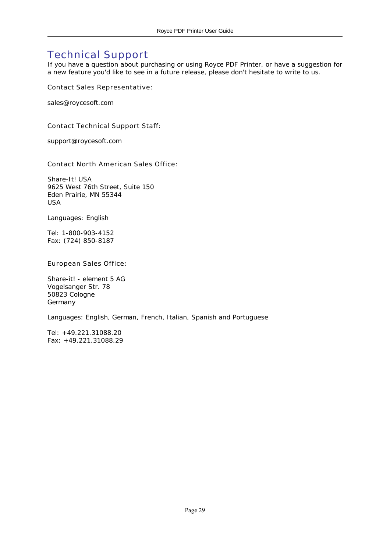### **Technical Support**

If you have a question about purchasing or using Royce PDF Printer, or have a suggestion for a new feature you'd like to see in a future release, please don't hesitate to write to us.

**Contact Sales Representative:**

sales@roycesoft.com

**Contact Technical Support Staff:**

support@roycesoft.com

**Contact North American Sales Office:**

Share-It! USA 9625 West 76th Street, Suite 150 Eden Prairie, MN 55344 USA

Languages: English

Tel: 1-800-903-4152 Fax: (724) 850-8187

**European Sales Office:**

Share-it! - element 5 AG Vogelsanger Str. 78 50823 Cologne Germany

Languages: English, German, French, Italian, Spanish and Portuguese

Tel: +49.221.31088.20 Fax: +49.221.31088.29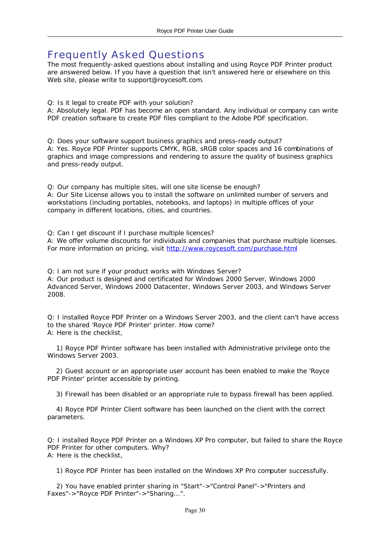#### **Frequently Asked Questions**

The most frequently-asked questions about installing and using Royce PDF Printer product are answered below. If you have a question that isn't answered here or elsewhere on this Web site, please write to support@roycesoft.com.

Q: Is it legal to create PDF with your solution?

A: Absolutely legal. PDF has become an open standard. Any individual or company can write PDF creation software to create PDF files compliant to the Adobe PDF specification.

Q: Does your software support business graphics and press-ready output? A: Yes. Royce PDF Printer supports CMYK, RGB, sRGB color spaces and 16 combinations of graphics and image compressions and rendering to assure the quality of business graphics and press-ready output.

Q: Our company has multiple sites, will one site license be enough? A: Our Site License allows you to install the software on unlimited number of servers and workstations (including portables, notebooks, and laptops) in multiple offices of your company in different locations, cities, and countries.

Q: Can I get discount if I purchase multiple licences? A: We offer volume discounts for individuals and companies that purchase multiple licenses. For more information on pricing, visit <http://www.roycesoft.com/purchase.html>

Q: I am not sure if your product works with Windows Server? A: Our product is designed and certificated for Windows 2000 Server, Windows 2000 Advanced Server, Windows 2000 Datacenter, Windows Server 2003, and Windows Server 2008.

Q: I installed Royce PDF Printer on a Windows Server 2003, and the client can't have access to the shared 'Royce PDF Printer' printer. How come? A: Here is the checklist,

 1) Royce PDF Printer software has been installed with Administrative privilege onto the Windows Server 2003.

 2) Guest account or an appropriate user account has been enabled to make the 'Royce PDF Printer' printer accessible by printing.

3) Firewall has been disabled or an appropriate rule to bypass firewall has been applied.

 4) Royce PDF Printer Client software has been launched on the client with the correct parameters.

Q: I installed Royce PDF Printer on a Windows XP Pro computer, but failed to share the Royce PDF Printer for other computers. Why? A: Here is the checklist,

1) Royce PDF Printer has been installed on the Windows XP Pro computer successfully.

 2) You have enabled printer sharing in "Start"->"Control Panel"->"Printers and Faxes"->"Royce PDF Printer"->"Sharing...".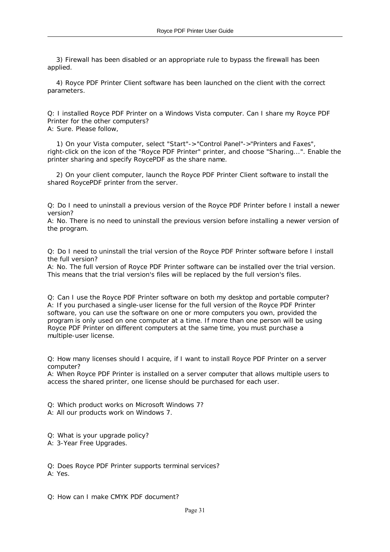3) Firewall has been disabled or an appropriate rule to bypass the firewall has been applied.

 4) Royce PDF Printer Client software has been launched on the client with the correct parameters.

Q: I installed Royce PDF Printer on a Windows Vista computer. Can I share my Royce PDF Printer for the other computers? A: Sure. Please follow,

 1) On your Vista computer, select "Start"->"Control Panel"->"Printers and Faxes", right-click on the icon of the "Royce PDF Printer" printer, and choose "Sharing...". Enable the printer sharing and specify RoycePDF as the share name.

 2) On your client computer, launch the Royce PDF Printer Client software to install the shared RoycePDF printer from the server.

Q: Do I need to uninstall a previous version of the Royce PDF Printer before I install a newer version?

A: No. There is no need to uninstall the previous version before installing a newer version of the program.

Q: Do I need to uninstall the trial version of the Royce PDF Printer software before I install the full version?

A: No. The full version of Royce PDF Printer software can be installed over the trial version. This means that the trial version's files will be replaced by the full version's files.

Q: Can I use the Royce PDF Printer software on both my desktop and portable computer? A: If you purchased a single-user license for the full version of the Royce PDF Printer software, you can use the software on one or more computers you own, provided the program is only used on one computer at a time. If more than one person will be using Royce PDF Printer on different computers at the same time, you must purchase a multiple-user license.

Q: How many licenses should I acquire, if I want to install Royce PDF Printer on a server computer?

A: When Royce PDF Printer is installed on a server computer that allows multiple users to access the shared printer, one license should be purchased for each user.

Q: Which product works on Microsoft Windows 7? A: All our products work on Windows 7.

Q: What is your upgrade policy? A: 3-Year Free Upgrades.

Q: Does Royce PDF Printer supports terminal services? A: Yes.

Q: How can I make CMYK PDF document?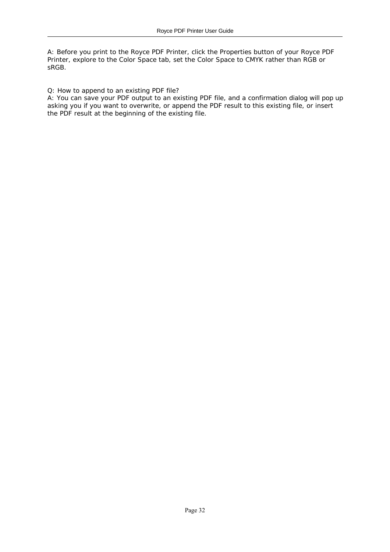A: Before you print to the Royce PDF Printer, click the Properties button of your Royce PDF Printer, explore to the Color Space tab, set the Color Space to CMYK rather than RGB or sRGB.

Q: How to append to an existing PDF file?

A: You can save your PDF output to an existing PDF file, and a confirmation dialog will pop up asking you if you want to overwrite, or append the PDF result to this existing file, or insert the PDF result at the beginning of the existing file.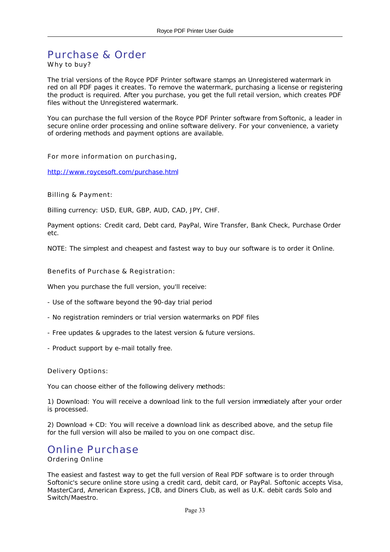## **Purchase & Order**

**Why to buy?**

The trial versions of the Royce PDF Printer software stamps an Unregistered watermark in red on all PDF pages it creates. To remove the watermark, purchasing a license or registering the product is required. After you purchase, you get the full retail version, which creates PDF files without the Unregistered watermark.

You can purchase the full version of the Royce PDF Printer software from Softonic, a leader in secure online order processing and online software delivery. For your convenience, a variety of ordering methods and payment options are available.

**For more information on purchasing,**

<http://www.roycesoft.com/purchase.html>

**Billing & Payment:**

Billing currency: USD, EUR, GBP, AUD, CAD, JPY, CHF.

Payment options: Credit card, Debt card, PayPal, Wire Transfer, Bank Check, Purchase Order etc.

NOTE: The simplest and cheapest and fastest way to buy our software is to order it Online.

**Benefits of Purchase & Registration:**

When you purchase the full version, you'll receive:

- Use of the software beyond the 90-day trial period

- No registration reminders or trial version watermarks on PDF files
- Free updates & upgrades to the latest version & future versions.
- Product support by e-mail totally free.

**Delivery Options:**

You can choose either of the following delivery methods:

1) Download: You will receive a download link to the full version immediately after your order is processed.

2) Download + CD: You will receive a download link as described above, and the setup file for the full version will also be mailed to you on one compact disc.

#### **Online Purchase**

**Ordering Online**

The easiest and fastest way to get the full version of Real PDF software is to order through Softonic's secure online store using a credit card, debit card, or PayPal. Softonic accepts Visa, MasterCard, American Express, JCB, and Diners Club, as well as U.K. debit cards Solo and Switch/Maestro.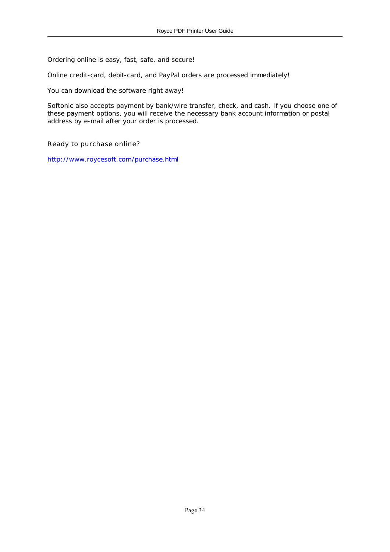Ordering online is easy, fast, safe, and secure!

Online credit-card, debit-card, and PayPal orders are processed immediately!

You can download the software right away!

Softonic also accepts payment by bank/wire transfer, check, and cash. If you choose one of these payment options, you will receive the necessary bank account information or postal address by e-mail after your order is processed.

**Ready to purchase online?**

<http://www.roycesoft.com/purchase.html>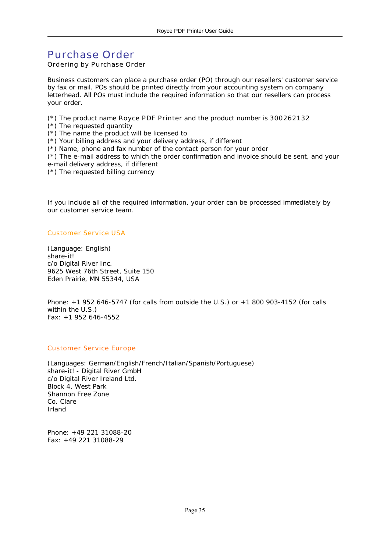### **Purchase Order**

**Ordering by Purchase Order**

Business customers can place a purchase order (PO) through our resellers' customer service by fax or mail. POs should be printed directly from your accounting system on company letterhead. All POs must include the required information so that our resellers can process your order.

(\*) The product name **Royce PDF Printer** and the product number is **300262132**

- (\*) The requested quantity
- (\*) The name the product will be licensed to
- (\*) Your billing address and your delivery address, if different
- (\*) Name, phone and fax number of the contact person for your order
- (\*) The e-mail address to which the order confirmation and invoice should be sent, and your e-mail delivery address, if different
- (\*) The requested billing currency

If you include all of the required information, your order can be processed immediately by our customer service team.

#### **Customer Service USA**

(Language: English) share-it! c/o Digital River Inc. 9625 West 76th Street, Suite 150 Eden Prairie, MN 55344, USA

Phone: +1 952 646-5747 (for calls from outside the U.S.) or +1 800 903-4152 (for calls within the U.S.) Fax: +1 952 646-4552

#### **Customer Service Europe**

(Languages: German/English/French/Italian/Spanish/Portuguese) share-it! - Digital River GmbH c/o Digital River Ireland Ltd. Block 4, West Park Shannon Free Zone Co. Clare Irland

Phone: +49 221 31088-20 Fax: +49 221 31088-29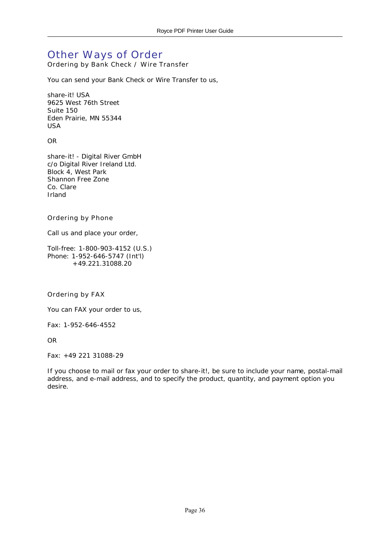### **Other Ways of Order**

**Ordering by Bank Check / Wire Transfer**

You can send your Bank Check or Wire Transfer to us,

share-it! USA 9625 West 76th Street Suite 150 Eden Prairie, MN 55344 USA

OR

share-it! - Digital River GmbH c/o Digital River Ireland Ltd. Block 4, West Park Shannon Free Zone Co. Clare Irland

**Ordering by Phone**

Call us and place your order,

Toll-free: 1-800-903-4152 (U.S.) Phone: 1-952-646-5747 (Int'l) +49.221.31088.20

**Ordering by FAX**

You can FAX your order to us,

Fax: 1-952-646-4552

OR

Fax: +49 221 31088-29

If you choose to mail or fax your order to share-it!, be sure to include your name, postal-mail address, and e-mail address, and to specify the product, quantity, and payment option you desire.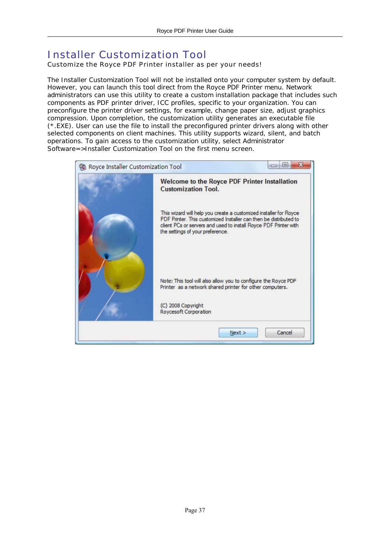## **Installer Customization Tool**

**Customize the Royce PDF Printer installer as per your needs!**

The Installer Customization Tool will not be installed onto your computer system by default. However, you can launch this tool direct from the Royce PDF Printer menu. Network administrators can use this utility to create a custom installation package that includes such components as PDF printer driver, ICC profiles, specific to your organization. You can preconfigure the printer driver settings, for example, change paper size, adjust graphics compression. Upon completion, the customization utility generates an executable file (\*.EXE). User can use the file to install the preconfigured printer drivers along with other selected components on client machines. This utility supports wizard, silent, and batch operations. To gain access to the customization utility, select Administrator Software=>Installer Customization Tool on the first menu screen.

| Royce Installer Customization Tool |                                                                                                                                                                                                                                                |
|------------------------------------|------------------------------------------------------------------------------------------------------------------------------------------------------------------------------------------------------------------------------------------------|
|                                    | Welcome to the Royce PDF Printer Installation<br><b>Customization Tool.</b>                                                                                                                                                                    |
|                                    | This wizard will help you create a customized installer for Royce<br>PDF Printer. This customized Installer can then be distributed to<br>client PCs or servers and used to install Royce PDF Printer with<br>the settings of your preference. |
|                                    | Note: This tool will also allow you to configure the Royce PDF<br>Printer as a network shared printer for other computers.<br>(C) 2008 Copyright<br>Roycesoft Corporation                                                                      |
|                                    | Cancel<br>Next                                                                                                                                                                                                                                 |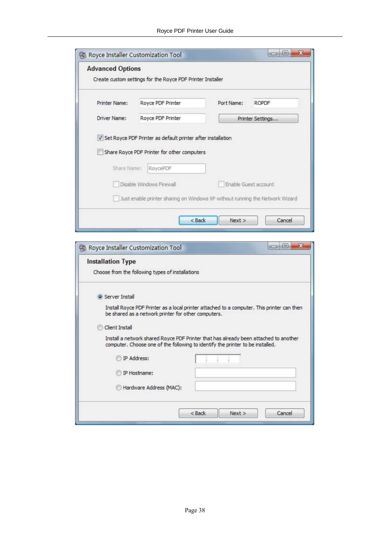| <b>Advanced Options</b> | Create custom settings for the Royce PDF Printer Installer                                                                                                          |            |                      |
|-------------------------|---------------------------------------------------------------------------------------------------------------------------------------------------------------------|------------|----------------------|
| Printer Name:           | Royce PDF Printer                                                                                                                                                   | Port Name: | ROPDE                |
| Driver Name:            | Royce PDF Printer                                                                                                                                                   |            | Printer Settings     |
|                         | Set Royce PDF Printer as default printer after installation                                                                                                         |            |                      |
| Share Name:             | Share Royce PDF Printer for other computers<br>RoycePDF<br>Disable Windows Firewall<br>Just enable printer sharing on Windows XP without running the Network Wizard |            | Enable Guest account |

| <b>Installation Type</b>                            |                                                                                                                                                                        |
|-----------------------------------------------------|------------------------------------------------------------------------------------------------------------------------------------------------------------------------|
| Choose from the following types of installations    |                                                                                                                                                                        |
| <b>O</b> Server Install                             |                                                                                                                                                                        |
| be shared as a network printer for other computers. | Install Royce PDF Printer as a local printer attached to a computer. This printer can then                                                                             |
| Client Install                                      |                                                                                                                                                                        |
|                                                     |                                                                                                                                                                        |
|                                                     | Install a network shared Royce PDF Printer that has already been attached to another<br>computer. Choose one of the following to identify the printer to be installed. |
| IP Address:                                         |                                                                                                                                                                        |
| IP Hostname:                                        |                                                                                                                                                                        |
| Hardware Address (MAC):                             |                                                                                                                                                                        |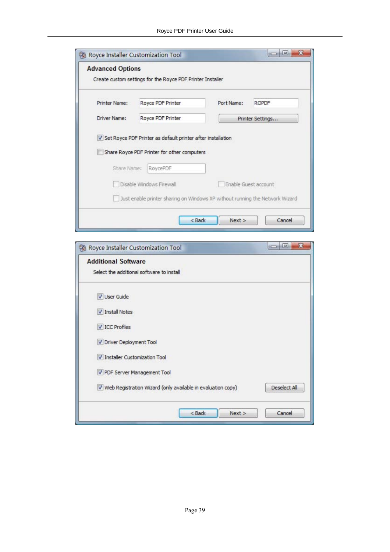| <b>Advanced Options</b> | Create custom settings for the Royce PDF Printer Installer                          |            |                      |
|-------------------------|-------------------------------------------------------------------------------------|------------|----------------------|
| Printer Name:           | Royce PDF Printer                                                                   | Port Name: | ROPDE                |
| Driver Name:            | Royce PDF Printer                                                                   |            | Printer Settings     |
|                         | Set Royce PDF Printer as default printer after installation                         |            |                      |
| Share Name:             | Share Royce PDF Printer for other computers<br>RoycePDF<br>Disable Windows Firewall |            | Enable Guest account |

| <b>Additional Software</b><br>Select the additional software to install |                                                               |              |
|-------------------------------------------------------------------------|---------------------------------------------------------------|--------------|
|                                                                         |                                                               |              |
| V User Guide                                                            |                                                               |              |
| V Install Notes                                                         |                                                               |              |
| V ICC Profiles                                                          |                                                               |              |
| V Driver Deployment Tool                                                |                                                               |              |
| V Installer Customization Tool                                          |                                                               |              |
| PDF Server Management Tool                                              |                                                               |              |
|                                                                         | V Web Registration Wizard (only available in evaluation copy) | Deselect All |
|                                                                         |                                                               |              |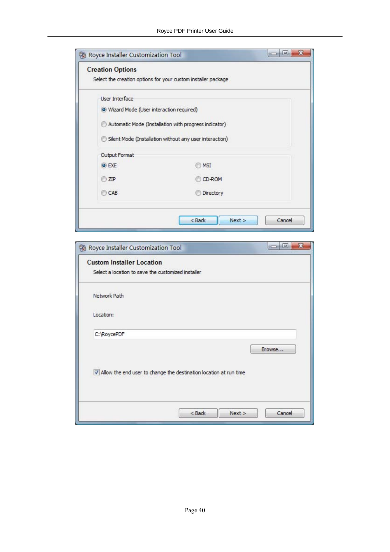| <b>Creation Options</b>                   | Select the creation options for your custom installer package |  |
|-------------------------------------------|---------------------------------------------------------------|--|
| User Interface                            |                                                               |  |
| O Wizard Mode (User interaction required) |                                                               |  |
|                                           | Automatic Mode (Installation with progress indicator)         |  |
|                                           | Silent Mode (Installation without any user interaction)       |  |
| Output Format                             |                                                               |  |
| O EXE                                     | MSI                                                           |  |
| ZIP                                       | CD-ROM                                                        |  |
| CAB                                       | Directory                                                     |  |
|                                           |                                                               |  |

| <b>Custom Installer Location</b>                                    |        |
|---------------------------------------------------------------------|--------|
| Select a location to save the customized installer                  |        |
| Network Path                                                        |        |
| Location:                                                           |        |
| C: RoycePDF                                                         |        |
|                                                                     | Browse |
| V Allow the end user to change the destination location at run time |        |
|                                                                     |        |
|                                                                     |        |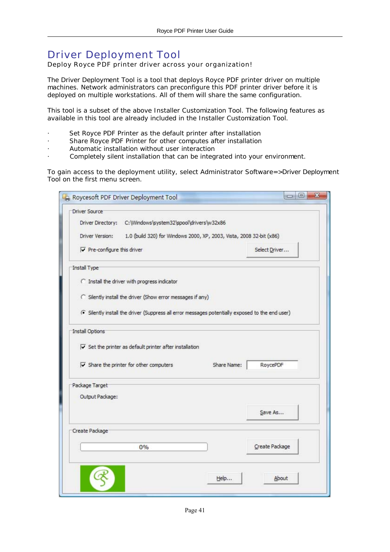## **Driver Deployment Tool**

**Deploy Royce PDF printer driver across your organization!**

The Driver Deployment Tool is a tool that deploys Royce PDF printer driver on multiple machines. Network administrators can preconfigure this PDF printer driver before it is deployed on multiple workstations. All of them will share the same configuration.

This tool is a subset of the above Installer Customization Tool. The following features as available in this tool are already included in the Installer Customization Tool.

- · Set Royce PDF Printer as the default printer after installation
- Share Royce PDF Printer for other computes after installation
- Automatic installation without user interaction
- Completely silent installation that can be integrated into your environment.

To gain access to the deployment utility, select Administrator Software=>Driver Deployment Tool on the first menu screen.

| Driver Source                                                                                     |                                                                      |                |
|---------------------------------------------------------------------------------------------------|----------------------------------------------------------------------|----------------|
| C: Windows \system32\spool\drivers\w32x86<br>Driver Directory:                                    |                                                                      |                |
| Driver Version:                                                                                   | 1.0 (build 320) for Windows 2000, XP, 2003, Vista, 2008 32-bit (x86) |                |
| $\nabla$ Pre-configure this driver                                                                |                                                                      | Select Driver  |
| Install Type                                                                                      |                                                                      |                |
| $\cap$ Install the driver with progress indicator                                                 |                                                                      |                |
| C Silently install the driver (Show error messages if any)                                        |                                                                      |                |
|                                                                                                   |                                                                      |                |
| (C) Silently install the driver (Suppress all error messages potentially exposed to the end user) |                                                                      |                |
|                                                                                                   |                                                                      |                |
|                                                                                                   |                                                                      |                |
| $\triangledown$ Set the printer as default printer after installation                             |                                                                      |                |
|                                                                                                   |                                                                      |                |
| $\triangledown$ Share the printer for other computers                                             | Share Name:                                                          | RoycePDF       |
|                                                                                                   |                                                                      |                |
| Output Package:                                                                                   |                                                                      |                |
|                                                                                                   |                                                                      | Save As        |
|                                                                                                   |                                                                      |                |
|                                                                                                   |                                                                      |                |
| 0%                                                                                                |                                                                      | Create Package |
| Install Options<br>Package Target<br>Create Package                                               |                                                                      |                |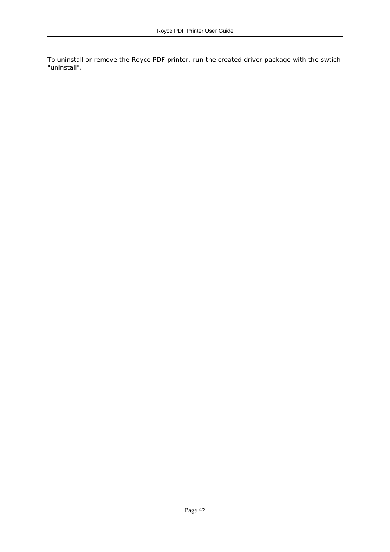To uninstall or remove the Royce PDF printer, run the created driver package with the swtich "uninstall".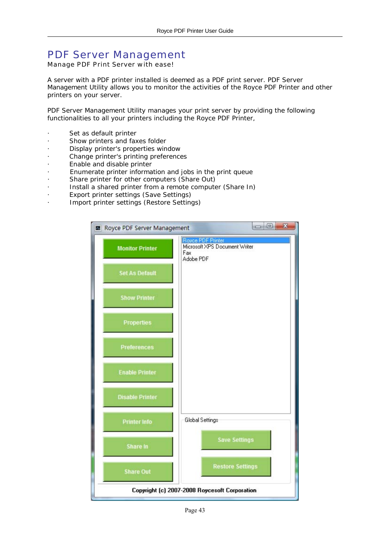#### **PDF Server Management**

**Manage PDF Print Server with ease!**

A server with a PDF printer installed is deemed as a PDF print server. PDF Server Management Utility allows you to monitor the activities of the Royce PDF Printer and other printers on your server.

PDF Server Management Utility manages your print server by providing the following functionalities to all your printers including the Royce PDF Printer,

- · Set as default printer
- · Show printers and faxes folder
- · Display printer's properties window
- · Change printer's printing preferences
- Enable and disable printer
- · Enumerate printer information and jobs in the print queue
- Share printer for other computers (Share Out)
- Install a shared printer from a remote computer (Share In)
- Export printer settings (Save Settings)
- Import printer settings (Restore Settings)



Page 43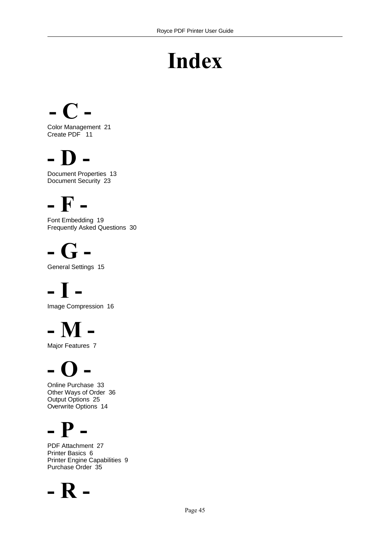# **Index**

**- C -**

Color Management 21 Create PDF 11



Document Properties 13 Document Security 23

# **- F -**

Font Embedding 19 Frequently Asked Questions 30



General Settings 15

# **- I -**

Image Compression 16



Major Features 7

# **- O -**

Online Purchase 33 Other Ways of Order 36 Output Options 25 Overwrite Options 14

# **- P -**

PDF Attachment 27 Printer Basics 6 Printer Engine Capabilities 9 Purchase Order 35

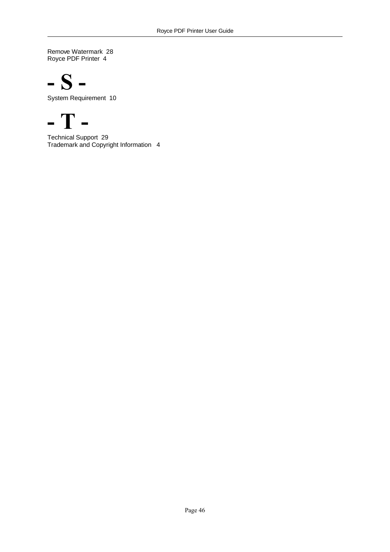Remove Watermark 28 Royce PDF Printer 4

$$
-S
$$

System Requirement 10

**- T -**

Technical Support 29 Trademark and Copyright Information 4